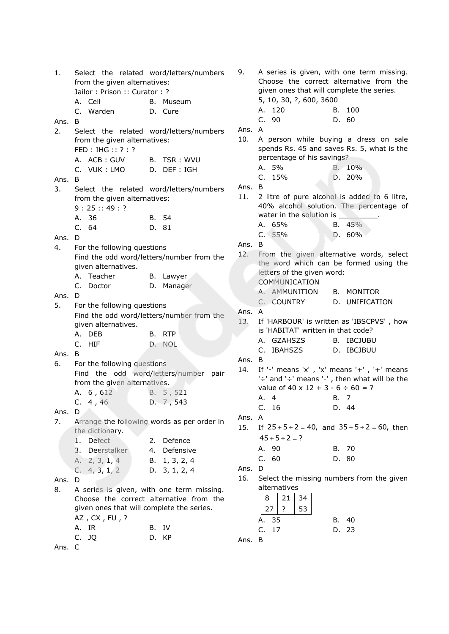1. Select the related word/letters/numbers from the given alternatives: Jailor : Prison :: Curator : ? A. Cell B. Museum C. Warden D. Cure Ans. B 2. Select the related word/letters/numbers from the given alternatives: FED : IHG :: ? : ? A. ACB: GUV B. TSR: WVU C. VUK : LMO D. DEF : IGH Ans. B 3. Select the related word/letters/numbers from the given alternatives: 9 : 25 :: 49 : ? A. 36 B. 54 C. 64 D. 81 Ans. D 4. For the following questions Find the odd word/letters/number from the given alternatives. A. Teacher B. Lawyer C. Doctor D. Manager Ans. D 5. For the following questions Find the odd word/letters/number from the given alternatives. A. DEB B. RTP C. HIF D. NOL Ans. B 6. For the following questions Find the odd word/letters/number pair from the given alternatives. A. 6, 612 B. 5, 521 C. 4 , 46 D. 7 , 543 Ans. D 7. Arrange the following words as per order in the dictionary. 1. Defect 2. Defence 3. Deerstalker 4. Defensive A. 2, 3, 1, 4 B. 1, 3, 2, 4 C. 4, 3, 1, 2 D. 3, 1, 2, 4 Ans. D 8. A series is given, with one term missing. Choose the correct alternative from the given ones that will complete the series. AZ , CX , FU , ? A. IR B. IV C. JQ D. KP

9. A series is given, with one term missing. Choose the correct alternative from the given ones that will complete the series. 5, 10, 30, ?, 600, 3600 A. 120 B. 100 C. 90 D. 60 Ans. A 10. A person while buying a dress on sale spends Rs. 45 and saves Rs. 5, what is the percentage of his savings? A. 5% B. 10% C. 15% D. 20% Ans. B 11. 2 litre of pure alcohol is added to 6 litre, 40% alcohol solution. The percentage of water in the solution is A. 65% B. 45% C. 55% D. 60% Ans. B 12. From the given alternative words, select the word which can be formed using the letters of the given word: COMMUNICATION A. AMMUNITION B. MONITOR C. COUNTRY D. UNIFICATION Ans. A 13. If 'HARBOUR' is written as 'IBSCPVS' , how is 'HABITAT' written in that code? A. GZAHSZS B. IBCJUBU C. IBAHSZS D. IBCJBUU Ans. B 14. If '-' means 'x' , 'x' means '+' , '+' means '÷' and '÷' means '-' , then what will be the value of  $40 \times 12 + 3 - 6 \div 60 = ?$ A. 4 B. 7 C. 16 D. 44 Ans. A  $15.$  $25 + 5 \div 2 = 40$ , and  $35 + 5 \div 2 = 60$ , then  $45 + 5 \div 2 = ?$ A. 90 B. 70 C. 60 D. 80 Ans. D 16. Select the missing numbers from the given alternatives  $8 | 21 | 34$  $27$  ? 53 A. 35 B. 40 C. 17 D. 23 Ans. B

Ans. C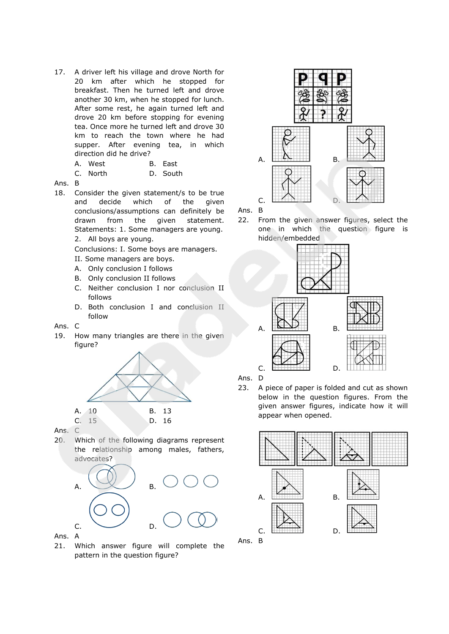17. A driver left his village and drove North for 20 km after which he stopped for breakfast. Then he turned left and drove another 30 km, when he stopped for lunch. After some rest, he again turned left and drove 20 km before stopping for evening tea. Once more he turned left and drove 30 km to reach the town where he had supper. After evening tea, in which direction did he drive?

| A. West | B. East |  |
|---------|---------|--|
|         | -       |  |

| C. North | D. South |
|----------|----------|
|          |          |

#### Ans. B

- 18. Consider the given statement/s to be true and decide which of the given conclusions/assumptions can definitely be drawn from the given statement. Statements: 1. Some managers are young. 2. All boys are young.
	- Conclusions: I. Some boys are managers.
	- II. Some managers are boys.
	- A. Only conclusion I follows
	- B. Only conclusion II follows
	- C. Neither conclusion I nor conclusion II follows
	- D. Both conclusion I and conclusion II follow
- Ans. C
- 19. How many triangles are there in the given figure?



Ans. C

20. Which of the following diagrams represent the relationship among males, fathers, advocates?



Ans. A

21. Which answer figure will complete the pattern in the question figure?



Ans. B

22. From the given answer figures, select the one in which the question figure is hidden/embedded



Ans. D

23. A piece of paper is folded and cut as shown below in the question figures. From the given answer figures, indicate how it will appear when opened.

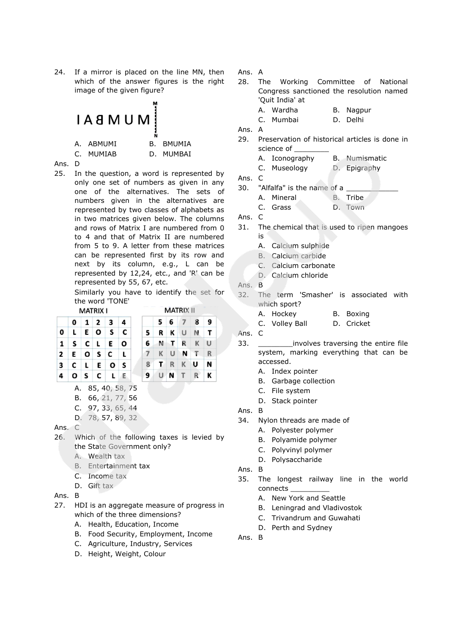24. If a mirror is placed on the line MN, then which of the answer figures is the right image of the given figure?





25. In the question, a word is represented by only one set of numbers as given in any one of the alternatives. The sets of numbers given in the alternatives are represented by two classes of alphabets as in two matrices given below. The columns and rows of Matrix I are numbered from 0 to 4 and that of Matrix II are numbered from 5 to 9. A letter from these matrices can be represented first by its row and next by its column, e.g., L can be represented by 12,24, etc., and 'R' can be represented by 55, 67, etc.

Similarly you have to identify the set for the word 'TONE'

|   |   |    | MATRIX I                        |                         |   |
|---|---|----|---------------------------------|-------------------------|---|
|   | 0 |    | $1 \overline{\smash{\big)}\ 2}$ | 3                       | 4 |
| 0 | L | EO |                                 | $\overline{\mathbf{s}}$ | C |
| 1 |   |    | S C L E                         |                         | O |
| 2 | E |    | o s                             | C                       | L |
| 3 | C |    |                                 | $L$ $E$ $O$             | S |
| 4 |   |    |                                 | OSCLE                   |   |

|                |  | 5 6 7 8 9   |  |
|----------------|--|-------------|--|
| 5              |  | R K U N T   |  |
|                |  | 6 N T R K U |  |
| $\overline{7}$ |  | KUNTR       |  |
| 8              |  | TRKUN       |  |
|                |  | 9 U N T R K |  |

**MATRIX II** 

- A. 85, 40, 58, 75 B. 66, 21, 77, 56 C. 97, 33, 65, 44
- D. 78, 57, 89, 32
- Ans. C
- 26. Which of the following taxes is levied by the State Government only?
	- A. Wealth tax
	- B. Entertainment tax
	- C. Income tax
	- D. Gift tax
- Ans. B
- 27. HDI is an aggregate measure of progress in which of the three dimensions?
	- A. Health, Education, Income
	- B. Food Security, Employment, Income
	- C. Agriculture, Industry, Services
	- D. Height, Weight, Colour

Ans. A

- 28. The Working Committee of National Congress sanctioned the resolution named 'Quit India' at
	- A. Wardha B. Nagpur
	- C. Mumbai D. Delhi
- Ans. A
- 29. Preservation of historical articles is done in science of
	- A. Iconography B. Numismatic
	- C. Museology D. Epigraphy
- Ans. C
- 30. "Alfalfa" is the name of a
	- A. Mineral B. Tribe
	- C. Grass D. Town
- Ans. C
- 31. The chemical that is used to ripen mangoes is
	- A. Calcium sulphide
	- B. Calcium carbide
	- C. Calcium carbonate
	- D. Calcium chloride
- Ans. B
- 32. The term 'Smasher' is associated with which sport?
	- A. Hockey B. Boxing
	- C. Volley Ball D. Cricket

Ans. C

- 33. \_\_\_\_\_\_\_\_involves traversing the entire file system, marking everything that can be accessed.
	- A. Index pointer
	- B. Garbage collection
	- C. File system
	- D. Stack pointer
- Ans. B
- 34. Nylon threads are made of
	- A. Polyester polymer
	- B. Polyamide polymer
	- C. Polyvinyl polymer
	- D. Polysaccharide
- Ans. B
- 35. The longest railway line in the world connects \_\_\_\_\_\_\_\_\_
	- A. New York and Seattle
	- B. Leningrad and Vladivostok
	- C. Trivandrum and Guwahati
	- D. Perth and Sydney
- Ans. B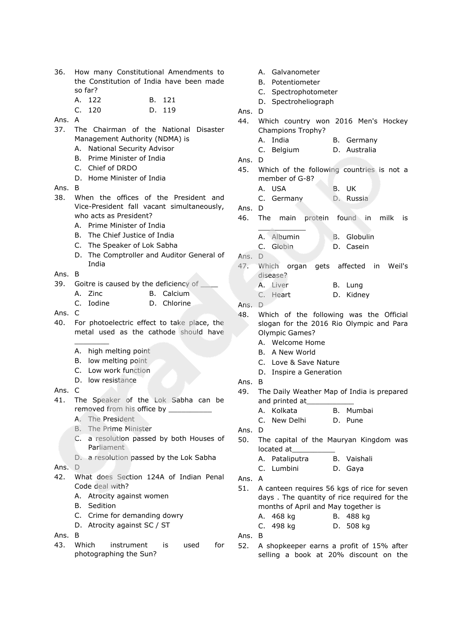- 36. How many Constitutional Amendments to the Constitution of India have been made so far? A. 122 B. 121
	- C. 120 D. 119
- Ans. A
- 37. The Chairman of the National Disaster Management Authority (NDMA) is
	- A. National Security Advisor
	- B. Prime Minister of India
	- C. Chief of DRDO
	- D. Home Minister of India
- Ans. B
- 38. When the offices of the President and Vice-President fall vacant simultaneously, who acts as President?
	- A. Prime Minister of India
	- B. The Chief Justice of India
	- C. The Speaker of Lok Sabha
	- D. The Comptroller and Auditor General of India
- Ans. B
- 39. Goitre is caused by the deficiency of
	- A. Zinc B. Calcium
	- C. Iodine D. Chlorine
- Ans. C
- 40. For photoelectric effect to take place, the metal used as the cathode should have
	- A. high melting point
	- B. low melting point
	- C. Low work function
	- D. low resistance

 $\overline{\phantom{a}}$ 

- Ans. C
- 41. The Speaker of the Lok Sabha can be removed from his office by
	- A. The President
	- B. The Prime Minister
	- C. a resolution passed by both Houses of Parliament
	- D. a resolution passed by the Lok Sabha
- Ans. D
- 42. What does Section 124A of Indian Penal Code deal with?
	- A. Atrocity against women
	- B. Sedition
	- C. Crime for demanding dowry
	- D. Atrocity against SC / ST

Ans. B

- 43. Which instrument is used for photographing the Sun?
- A. Galvanometer B. Potentiometer C. Spectrophotometer D. Spectroheliograph Ans. D 44. Which country won 2016 Men's Hockey Champions Trophy? A. India B. Germany C. Belgium D. Australia Ans. D 45. Which of the following countries is not a member of G-8? A. USA B. UK C. Germany D. Russia Ans. D 46. The main protein found in milk is  $\Delta$ A. Albumin B. Globulin C. Globin D. Casein Ans. D 47. Which organ gets affected in Weil's disease? A. Liver B. Lung C. Heart D. Kidney Ans. D 48. Which of the following was the Official slogan for the 2016 Rio Olympic and Para Olympic Games? A. Welcome Home B. A New World C. Love & Save Nature D. Inspire a Generation Ans. B 49. The Daily Weather Map of India is prepared and printed at A. Kolkata B. Mumbai C. New Delhi D. Pune Ans. D 50. The capital of the Mauryan Kingdom was located at A. Pataliputra B. Vaishali C. Lumbini D. Gaya Ans. A 51. A canteen requires 56 kgs of rice for seven days . The quantity of rice required for the months of April and May together is A. 468 kg B. 488 kg C. 498 kg D. 508 kg
- Ans. B
- 52. A shopkeeper earns a profit of 15% after selling a book at 20% discount on the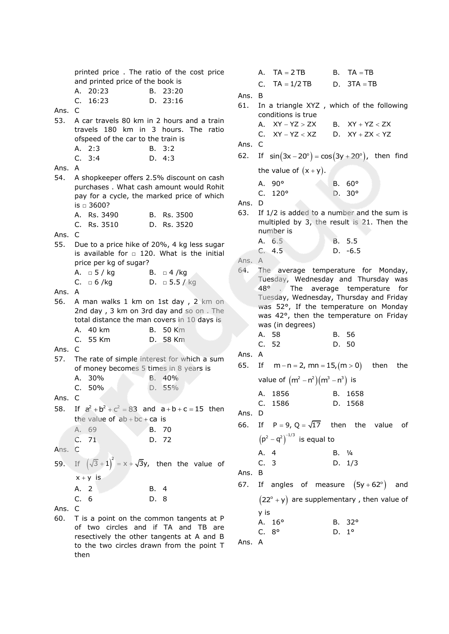printed price . The ratio of the cost price and printed price of the book is A. 20:23 B. 23:20 C. 16:23 D. 23:16 Ans. C 53. A car travels 80 km in 2 hours and a train travels 180 km in 3 hours. The ratio ofspeed of the car to the train is A. 2:3 B. 3:2 C. 3:4 D. 4:3 Ans. A 54. A shopkeeper offers 2.5% discount on cash purchases . What cash amount would Rohit pay for a cycle, the marked price of which is  $□$  3600? A. Rs. 3490 B. Rs. 3500 C. Rs. 3510 D. Rs. 3520 Ans. C 55. Due to a price hike of 20%, 4 kg less sugar is available for  $\Box$  120. What is the initial price per kg of sugar? A. □  $5 / kg$  B. □ 4 /kg C. □ 6 /kg D. □ 5.5 / kg Ans. A 56. A man walks 1 km on 1st day , 2 km on 2nd day, 3 km on 3rd day and so on. The total distance the man covers in 10 days is A. 40 km B. 50 Km C. 55 Km D. 58 Km Ans. C 57. The rate of simple interest for which a sum of money becomes 5 times in 8 years is A. 30% B. 40% C. 50% D. 55% Ans. C 58. If  $a^2 + b^2 + c^2 = 83$  and  $a+b+c=15$  then the value of  $ab + bc + ca$  is A. 69 B. 70 C. 71 D. 72 Ans. C 59. If  $(\sqrt{3}+1)^2 = x + \sqrt{3}y$ , then the value of  $x + y$  is A. 2 B. 4 C. 6 D. 8 Ans. C 60. T is a point on the common tangents at P of two circles and if TA and TB are resectively the other tangents at A and B to the two circles drawn from the point T then A.  $TA = 2TB$  $B.$  TA  $=$  TB C.  $TA = 1/2 TB$  $D. 3TA = TB$ Ans. B 61. In a triangle XYZ , which of the following conditions is true A.  $XY - YZ > ZX$ B.  $XY + YZ < ZX$  $C.$   $XY - YZ < XZ$ D.  $XY + ZX < YZ$ Ans. C  $62.$  $sin(3x-20^\circ) = cos(3y+20^\circ)$ , then find the value of  $(x + y)$ . A. 90° B. 60° C. 120° D. 30° Ans. D 63. If 1/2 is added to a number and the sum is multipled by 3, the result is 21. Then the number is A. 6.5 B. 5.5 C. 4.5 D. -6.5 Ans. A 64. The average temperature for Monday, Tuesday, Wednesday and Thursday was 48° . The average temperature for Tuesday, Wednesday, Thursday and Friday was 52°, If the temperature on Monday was 42°, then the temperature on Friday was (in degrees) A. 58 B. 56 C. 52 D. 50 Ans. A 65. If  $m - n = 2$ , mn = 15, (m > 0) then the value of  $(m^2 - n^2)(m^3 - n^3)$  is A. 1856 B. 1658 C. 1586 D. 1568 Ans. D 66. If  $P = 9$ ,  $Q = \sqrt{17}$  then the value of  $(p^2 - q^2)^{-1/3}$  is equal to A. 4 B. ¼ C. 3 D. 1/3 Ans. B 67. If angles of measure  $(5y + 62^{\circ})$  and  $(22^{\circ} + y)$  are supplementary, then value of y is A. 16° B. 32° C. 8° D. 1° Ans. A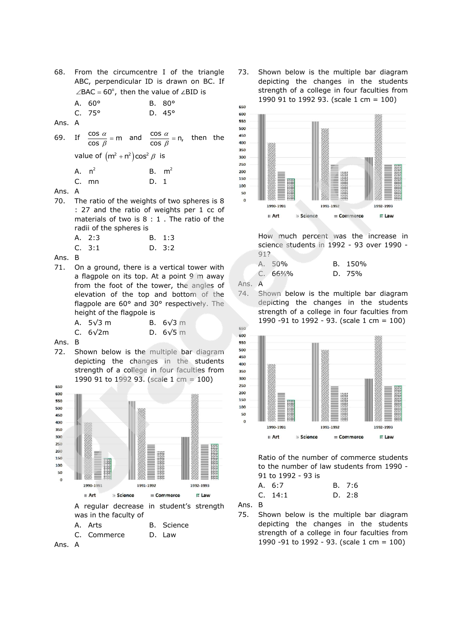| 68.    | From the circumcentre I of the triangle<br>ABC, perpendicular ID is drawn on BC. If<br>$\angle$ BAC = 60°, then the value of $\angle$ BID is |                                 |  |
|--------|----------------------------------------------------------------------------------------------------------------------------------------------|---------------------------------|--|
|        | A. $60^{\circ}$<br>C.75°                                                                                                                     | B. $80^\circ$<br>$D.45^{\circ}$ |  |
| Ans. A |                                                                                                                                              |                                 |  |
|        | 69. If $\frac{\cos \alpha}{\cos \beta}$ = m and $\frac{\cos \alpha}{\cos \beta}$ = n, then the                                               |                                 |  |
|        | value of $(m^2 + n^2)\cos^2 \beta$ is                                                                                                        |                                 |  |

| A. $n^2$ |       | $B.$ m <sup>2</sup> |  |
|----------|-------|---------------------|--|
|          | C. mn | D. 1                |  |

- Ans. A
- 70. The ratio of the weights of two spheres is 8 : 27 and the ratio of weights per 1 cc of materials of two is 8 : 1 . The ratio of the radii of the spheres is
	- A. 2:3 B. 1:3 C. 3:1 D. 3:2
- Ans. B
- 71. On a ground, there is a vertical tower with a flagpole on its top. At a point 9 m away from the foot of the tower, the angles of elevation of the top and bottom of the flagpole are 60° and 30° respectively. The height of the flagpole is

| A. $5\sqrt{3}$ m | <b>B.</b> $6\sqrt{3}$ m |
|------------------|-------------------------|
| C. $6\sqrt{2m}$  | D. $6\sqrt{5}$ m        |

- Ans. B
- 72. Shown below is the multiple bar diagram depicting the changes in the students strength of a college in four faculties from 1990 91 to 1992 93. (scale 1 cm = 100)



Ans. A

73. Shown below is the multiple bar diagram depicting the changes in the students strength of a college in four faculties from 1990 91 to 1992 93. (scale 1 cm = 100)



How much percent was the increase in science students in 1992 - 93 over 1990 - 91?

| A. 50%               | B. 150% |
|----------------------|---------|
| $C. 66\frac{2}{3}\%$ | D. 75%  |

Ans. A

74. Shown below is the multiple bar diagram depicting the changes in the students strength of a college in four faculties from 1990 -91 to 1992 - 93. (scale 1 cm = 100)



Ratio of the number of commerce students to the number of law students from 1990 - 91 to 1992 - 93 is

| A. 6:7 |  | B. 7:6 |
|--------|--|--------|
|        |  |        |

C. 
$$
14:1
$$
 D.  $2:8$ 

Ans. B

75. Shown below is the multiple bar diagram depicting the changes in the students strength of a college in four faculties from 1990 -91 to 1992 - 93. (scale 1 cm = 100)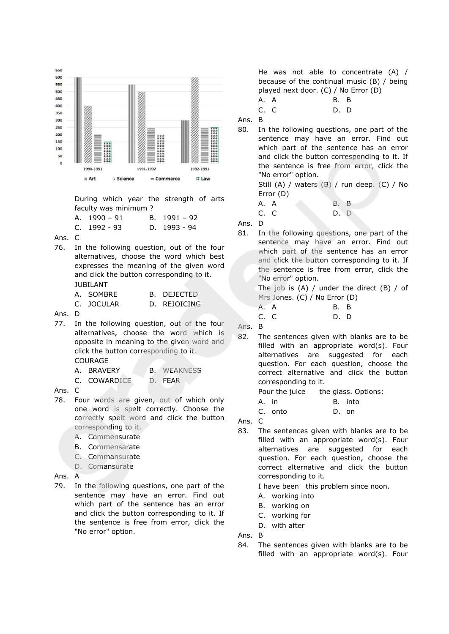

During which year the strength of arts faculty was minimum ?

| A. $1990 - 91$ | B. $1991 - 92$ |
|----------------|----------------|
| $C.$ 1992 - 93 | D. $1993 - 94$ |

Ans. C

76. In the following question, out of the four alternatives, choose the word which best expresses the meaning of the given word and click the button corresponding to it. JUBILANT

> A. SOMBRE B. DEJECTED C. JOCULAR D. REJOICING

Ans. D

- 77. In the following question, out of the four alternatives, choose the word which is opposite in meaning to the given word and click the button corresponding to it. COURAGE
	- A. BRAVERY B. WEAKNESS
	- C. COWARDICE D. FEAR

Ans. C

- 78. Four words are given, out of which only one word is spelt correctly. Choose the correctly spelt word and click the button corresponding to it.
	- A. Commensurate
	- B. Commensarate
	- C. Commansurate
	- D. Comansurate
- Ans. A
- 79. In the following questions, one part of the sentence may have an error. Find out which part of the sentence has an error and click the button corresponding to it. If the sentence is free from error, click the "No error" option.

He was not able to concentrate (A) / because of the continual music (B) / being played next door. (C) / No Error (D)

A. A B. B

C. C D. D

Ans. B

80. In the following questions, one part of the sentence may have an error. Find out which part of the sentence has an error and click the button corresponding to it. If the sentence is free from error, click the "No error" option.

> Still (A) / waters (B) / run deep. (C) / No Error (D)

| A.A |  | <b>B. B</b> |  |
|-----|--|-------------|--|
| C.C |  | D. D        |  |

Ans. D

81. In the following questions, one part of the sentence may have an error. Find out which part of the sentence has an error and click the button corresponding to it. If the sentence is free from error, click the "No error" option.

> The job is  $(A)$  / under the direct  $(B)$  / of Mrs Jones. (C) / No Error (D)

| A. A | <b>B. B</b> |  |
|------|-------------|--|
| C. C | D. D        |  |
| -    |             |  |

Ans. B

82. The sentences given with blanks are to be filled with an appropriate word(s). Four alternatives are suggested for each question. For each question, choose the correct alternative and click the button corresponding to it.

Pour the juice the glass. Options:

A. in B. into

C. onto D. on

Ans. C

83. The sentences given with blanks are to be filled with an appropriate word(s). Four alternatives are suggested for each question. For each question, choose the correct alternative and click the button corresponding to it.

I have been this problem since noon.

- A. working into
- B. working on
- C. working for
- D. with after

Ans. B

84. The sentences given with blanks are to be filled with an appropriate word(s). Four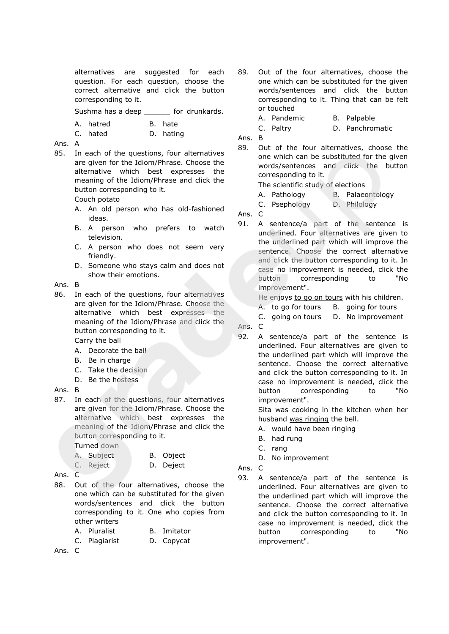alternatives are suggested for each question. For each question, choose the correct alternative and click the button corresponding to it.

Sushma has a deep for drunkards.

A. hatred B. hate

|  |  | C. hated |  | D. hating |
|--|--|----------|--|-----------|
|--|--|----------|--|-----------|

### Ans. A

85. In each of the questions, four alternatives are given for the Idiom/Phrase. Choose the alternative which best expresses the meaning of the Idiom/Phrase and click the button corresponding to it.

## Couch potato

- A. An old person who has old-fashioned ideas.
- B. A person who prefers to watch television.
- C. A person who does not seem very friendly.
- D. Someone who stays calm and does not show their emotions.

#### Ans. B

86. In each of the questions, four alternatives are given for the Idiom/Phrase. Choose the alternative which best expresses the meaning of the Idiom/Phrase and click the button corresponding to it.

Carry the ball

- A. Decorate the ball
- B. Be in charge
- C. Take the decision
- D. Be the hostess

### Ans. B

87. In each of the questions, four alternatives are given for the Idiom/Phrase. Choose the alternative which best expresses the meaning of the Idiom/Phrase and click the button corresponding to it.

Turned down

| A. Subject | B. Object |
|------------|-----------|
| C. Reject  | D. Deject |

- Ans. C
- 88. Out of the four alternatives, choose the one which can be substituted for the given words/sentences and click the button corresponding to it. One who copies from other writers
	- A. Pluralist B. Imitator
	- C. Plagiarist D. Copycat
- Ans. C
- 89. Out of the four alternatives, choose the one which can be substituted for the given words/sentences and click the button corresponding to it. Thing that can be felt or touched
	- A. Pandemic B. Palpable
	- C. Paltry D. Panchromatic
- Ans. B
- 89. Out of the four alternatives, choose the one which can be substituted for the given words/sentences and click the button corresponding to it.

The scientific study of elections

- A. Pathology B. Palaeontology
- C. Psephology D. Philology

Ans. C

91. A sentence/a part of the sentence is underlined. Four alternatives are given to the underlined part which will improve the sentence. Choose the correct alternative and click the button corresponding to it. In case no improvement is needed, click the button corresponding to "No improvement".

He enjoys to go on tours with his children.

- A. to go for tours B. going for tours
- C. going on tours D. No improvement

Ans. C

92. A sentence/a part of the sentence is underlined. Four alternatives are given to the underlined part which will improve the sentence. Choose the correct alternative and click the button corresponding to it. In case no improvement is needed, click the button corresponding to "No improvement".

> Sita was cooking in the kitchen when her husband was ringing the bell.

- A. would have been ringing
- B. had rung
- C. rang
- D. No improvement
- Ans. C
- 93. A sentence/a part of the sentence is underlined. Four alternatives are given to the underlined part which will improve the sentence. Choose the correct alternative and click the button corresponding to it. In case no improvement is needed, click the button corresponding to "No improvement".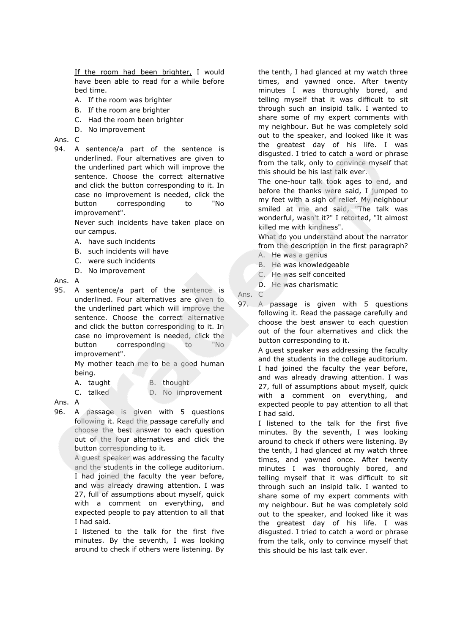If the room had been brighter, I would have been able to read for a while before bed time.

- A. If the room was brighter
- B. If the room are brighter
- C. Had the room been brighter
- D. No improvement

Ans. C

94. A sentence/a part of the sentence is underlined. Four alternatives are given to the underlined part which will improve the sentence. Choose the correct alternative and click the button corresponding to it. In case no improvement is needed, click the button corresponding to "No improvement".

> Never such incidents have taken place on our campus.

- A. have such incidents
- B. such incidents will have
- C. were such incidents
- D. No improvement

Ans. A

95. A sentence/a part of the sentence is underlined. Four alternatives are given to the underlined part which will improve the sentence. Choose the correct alternative and click the button corresponding to it. In case no improvement is needed, click the button corresponding to "No improvement".

> My mother teach me to be a good human being.

A. taught B. thought

C. talked D. No improvement

# Ans. A

96. A passage is given with 5 questions following it. Read the passage carefully and choose the best answer to each question out of the four alternatives and click the button corresponding to it.

> A guest speaker was addressing the faculty and the students in the college auditorium. I had joined the faculty the year before, and was already drawing attention. I was 27, full of assumptions about myself, quick with a comment on everything, and expected people to pay attention to all that I had said.

> I listened to the talk for the first five minutes. By the seventh, I was looking around to check if others were listening. By

the tenth, I had glanced at my watch three times, and yawned once. After twenty minutes I was thoroughly bored, and telling myself that it was difficult to sit through such an insipid talk. I wanted to share some of my expert comments with my neighbour. But he was completely sold out to the speaker, and looked like it was the greatest day of his life. I was disgusted. I tried to catch a word or phrase from the talk, only to convince myself that this should be his last talk ever.

The one-hour talk took ages to end, and before the thanks were said, I jumped to my feet with a sigh of relief. My neighbour smiled at me and said, "The talk was wonderful, wasn't it?" I retorted, "It almost killed me with kindness".

What do you understand about the narrator from the description in the first paragraph?

- A. He was a genius
- B. He was knowledgeable
- C. He was self conceited
- D. He was charismatic

Ans. C

97. A passage is given with 5 questions following it. Read the passage carefully and choose the best answer to each question out of the four alternatives and click the button corresponding to it.

> A guest speaker was addressing the faculty and the students in the college auditorium. I had joined the faculty the year before, and was already drawing attention. I was 27, full of assumptions about myself, quick with a comment on everything, and expected people to pay attention to all that I had said.

I listened to the talk for the first five minutes. By the seventh, I was looking around to check if others were listening. By the tenth, I had glanced at my watch three times, and yawned once. After twenty minutes I was thoroughly bored, and telling myself that it was difficult to sit through such an insipid talk. I wanted to share some of my expert comments with my neighbour. But he was completely sold out to the speaker, and looked like it was the greatest day of his life. I was disgusted. I tried to catch a word or phrase from the talk, only to convince myself that this should be his last talk ever.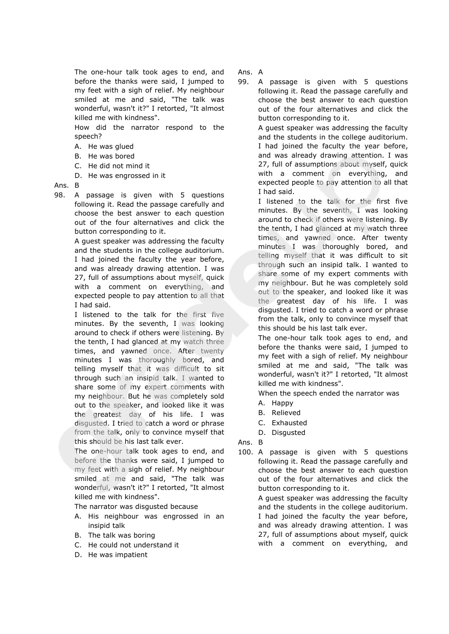The one-hour talk took ages to end, and before the thanks were said, I jumped to my feet with a sigh of relief. My neighbour smiled at me and said, "The talk was wonderful, wasn't it?" I retorted, "It almost killed me with kindness".

How did the narrator respond to the speech?

- A. He was glued
- B. He was bored
- C. He did not mind it
- D. He was engrossed in it

# Ans. B

98. A passage is given with 5 questions following it. Read the passage carefully and choose the best answer to each question out of the four alternatives and click the button corresponding to it.

> A guest speaker was addressing the faculty and the students in the college auditorium. I had joined the faculty the year before, and was already drawing attention. I was 27, full of assumptions about myself, quick with a comment on everything, and expected people to pay attention to all that I had said.

> I listened to the talk for the first five minutes. By the seventh, I was looking around to check if others were listening. By the tenth, I had glanced at my watch three times, and yawned once. After twenty minutes I was thoroughly bored, and telling myself that it was difficult to sit through such an insipid talk. I wanted to share some of my expert comments with my neighbour. But he was completely sold out to the speaker, and looked like it was the greatest day of his life. I was disgusted. I tried to catch a word or phrase from the talk, only to convince myself that this should be his last talk ever.

> The one-hour talk took ages to end, and before the thanks were said, I jumped to my feet with a sigh of relief. My neighbour smiled at me and said, "The talk was wonderful, wasn't it?" I retorted, "It almost killed me with kindness".

The narrator was disgusted because

- A. His neighbour was engrossed in an insipid talk
- B. The talk was boring
- C. He could not understand it
- D. He was impatient

Ans. A

99. A passage is given with 5 questions following it. Read the passage carefully and choose the best answer to each question out of the four alternatives and click the button corresponding to it.

> A guest speaker was addressing the faculty and the students in the college auditorium. I had joined the faculty the year before, and was already drawing attention. I was 27, full of assumptions about myself, quick with a comment on everything, and expected people to pay attention to all that I had said.

> I listened to the talk for the first five minutes. By the seventh, I was looking around to check if others were listening. By the tenth, I had glanced at my watch three times, and yawned once. After twenty minutes I was thoroughly bored, and telling myself that it was difficult to sit through such an insipid talk. I wanted to share some of my expert comments with my neighbour. But he was completely sold out to the speaker, and looked like it was the greatest day of his life. I was disgusted. I tried to catch a word or phrase from the talk, only to convince myself that this should be his last talk ever.

> The one-hour talk took ages to end, and before the thanks were said, I jumped to my feet with a sigh of relief. My neighbour smiled at me and said, "The talk was wonderful, wasn't it?" I retorted, "It almost killed me with kindness".

When the speech ended the narrator was

- A. Happy
- B. Relieved
- C. Exhausted
- D. Disgusted

Ans. B

100. A passage is given with 5 questions following it. Read the passage carefully and choose the best answer to each question out of the four alternatives and click the button corresponding to it.

> A guest speaker was addressing the faculty and the students in the college auditorium. I had joined the faculty the year before, and was already drawing attention. I was 27, full of assumptions about myself, quick with a comment on everything, and